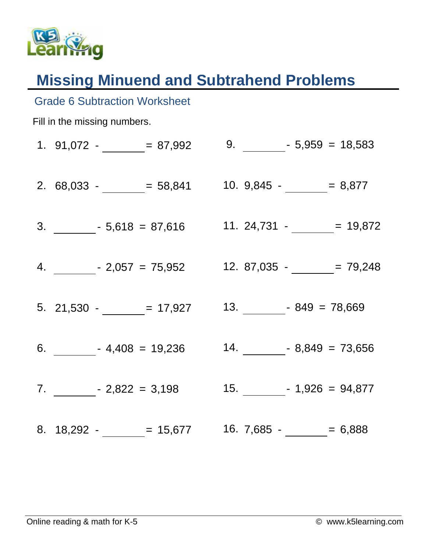

Grade 6 Subtraction Worksheet

## **Missing Minuend and Subtrahend Problems**

| Fill in the missing numbers. |                                                                        |  |
|------------------------------|------------------------------------------------------------------------|--|
|                              | 1. $91,072  = 87,992$                                                  |  |
|                              | 2. $68,033  = 58,841$ 10. $9,845  = 8,877$                             |  |
|                              |                                                                        |  |
|                              | 4. $-2,057 = 75,952$ 12. 87,035 - $-$ 79,248                           |  |
|                              | 5. 21,530 - $\frac{ }{2}$ = 17,927 13. $\frac{ }{2}$ - 849 = 78,669    |  |
|                              | 6. $\frac{\ }{2}$ - 4,408 = 19,236 14. $\frac{\ }{2}$ - 8,849 = 73,656 |  |
|                              | 7. $2,822 = 3,198$ 15. $-1,926 = 94,877$                               |  |
|                              | 8. $18,292  = 15,677$ 16. $7,685  = 6,888$                             |  |